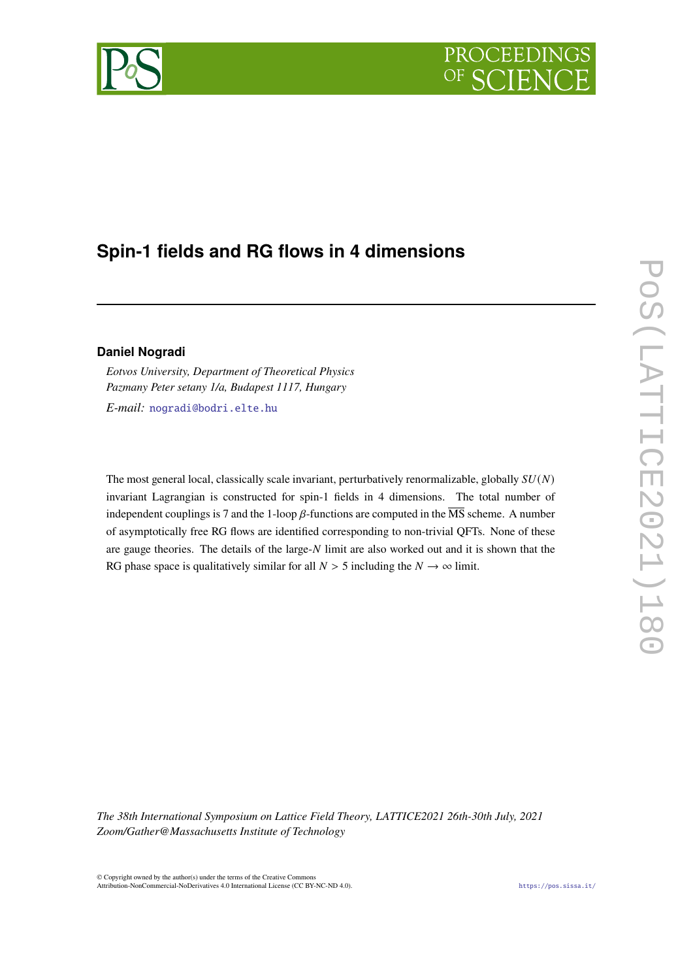# PROCEEDING

## **Spin-1 fields and RG flows in 4 dimensions**

#### **Daniel Nogradi**

*Eotvos University, Department of Theoretical Physics Pazmany Peter setany 1/a, Budapest 1117, Hungary*

*E-mail:* [nogradi@bodri.elte.hu](mailto:nogradi@bodri.elte.hu)

The most general local, classically scale invariant, perturbatively renormalizable, globally  $SU(N)$ invariant Lagrangian is constructed for spin-1 fields in 4 dimensions. The total number of independent couplings is 7 and the 1-loop  $\beta$ -functions are computed in the  $\overline{\text{MS}}$  scheme. A number of asymptotically free RG flows are identified corresponding to non-trivial QFTs. None of these are gauge theories. The details of the large- $N$  limit are also worked out and it is shown that the RG phase space is qualitatively similar for all  $N > 5$  including the  $N \rightarrow \infty$  limit.

*The 38th International Symposium on Lattice Field Theory, LATTICE2021 26th-30th July, 2021 Zoom/Gather@Massachusetts Institute of Technology*

© Copyright owned by the author(s) under the terms of the Creative Commons Attribution-NonCommercial-NoDerivatives 4.0 International License (CC BY-NC-ND 4.0). <https://pos.sissa.it/>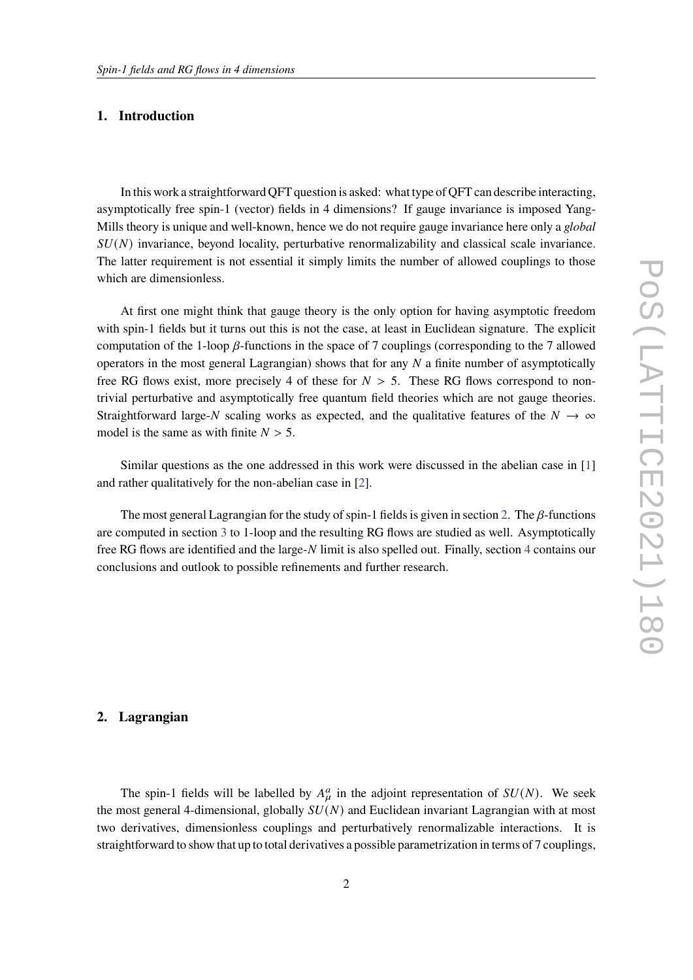#### **1. Introduction**

In this work a straightforward QFT question is asked: what type of QFT can describe interacting, asymptotically free spin-1 (vector) fields in 4 dimensions? If gauge invariance is imposed Yang-Mills theory is unique and well-known, hence we do not require gauge invariance here only a *global*  $SU(N)$  invariance, beyond locality, perturbative renormalizability and classical scale invariance. The latter requirement is not essential it simply limits the number of allowed couplings to those which are dimensionless.

At first one might think that gauge theory is the only option for having asymptotic freedom with spin-1 fields but it turns out this is not the case, at least in Euclidean signature. The explicit computation of the 1-loop  $\beta$ -functions in the space of 7 couplings (corresponding to the 7 allowed operators in the most general Lagrangian) shows that for any  $N$  a finite number of asymptotically free RG flows exist, more precisely 4 of these for  $N > 5$ . These RG flows correspond to nontrivial perturbative and asymptotically free quantum field theories which are not gauge theories. Straightforward large-N scaling works as expected, and the qualitative features of the  $N \to \infty$ model is the same as with finite  $N > 5$ .

Similar questions as the one addressed in this work were discussed in the abelian case in [\[1\]](#page-6-0) and rather qualitatively for the non-abelian case in [\[2\]](#page-6-1).

The most general Lagrangian for the study of spin-1 fields is given in section [2.](#page-1-0) The  $\beta$ -functions are computed in section [3](#page-2-0) to 1-loop and the resulting RG flows are studied as well. Asymptotically free RG flows are identified and the large-N limit is also spelled out. Finally, section [4](#page-4-0) contains our conclusions and outlook to possible refinements and further research.

#### <span id="page-1-0"></span>**2. Lagrangian**

The spin-1 fields will be labelled by  $A_u^a$  in the adjoint representation of  $SU(N)$ . We seek the most general 4-dimensional, globally  $SU(N)$  and Euclidean invariant Lagrangian with at most two derivatives, dimensionless couplings and perturbatively renormalizable interactions. It is straightforward to show that up to total derivatives a possible parametrization in terms of 7 couplings,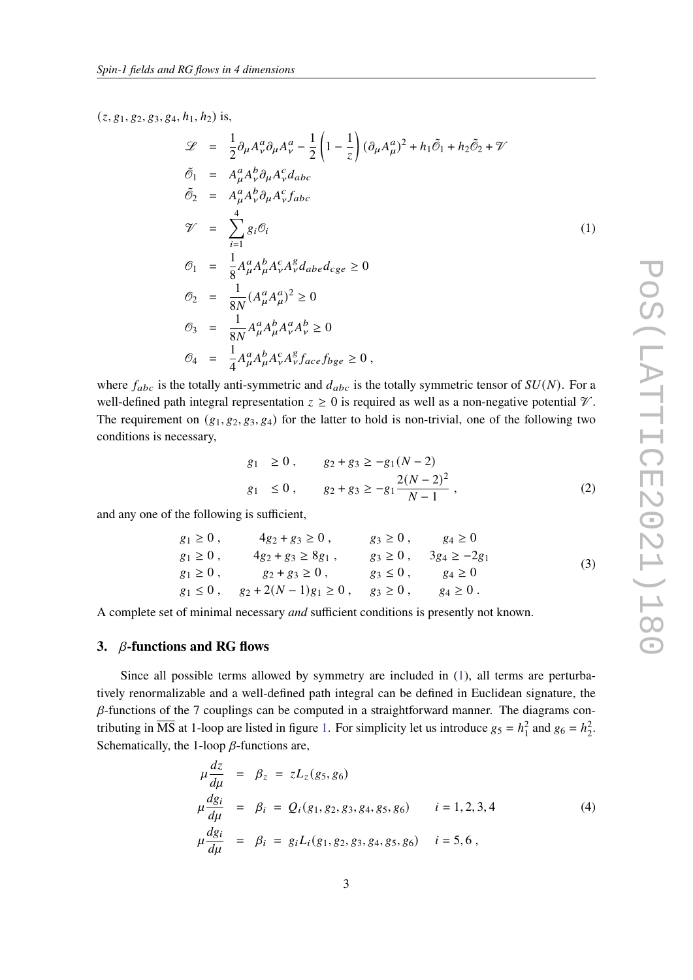$(z, g_1, g_2, g_3, g_4, h_1, h_2)$  is,

<span id="page-2-1"></span>
$$
\mathcal{L} = \frac{1}{2} \partial_{\mu} A_{\nu}^{a} \partial_{\mu} A_{\nu}^{a} - \frac{1}{2} \left( 1 - \frac{1}{z} \right) (\partial_{\mu} A_{\mu}^{a})^{2} + h_{1} \tilde{\mathcal{O}}_{1} + h_{2} \tilde{\mathcal{O}}_{2} + \mathcal{V}
$$
  
\n
$$
\tilde{\mathcal{O}}_{1} = A_{\mu}^{a} A_{\nu}^{b} \partial_{\mu} A_{\nu}^{c} d_{abc}
$$
  
\n
$$
\tilde{\mathcal{O}}_{2} = A_{\mu}^{a} A_{\nu}^{b} \partial_{\mu} A_{\nu}^{c} f_{abc}
$$
  
\n
$$
\mathcal{V} = \sum_{i=1}^{4} g_{i} \mathcal{O}_{i}
$$
  
\n
$$
\mathcal{O}_{1} = \frac{1}{8} A_{\mu}^{a} A_{\mu}^{b} A_{\nu}^{c} A_{\nu}^{g} d_{abc} d_{cge} \ge 0
$$
  
\n
$$
\mathcal{O}_{2} = \frac{1}{8N} (A_{\mu}^{a} A_{\mu}^{a})^{2} \ge 0
$$
  
\n
$$
\mathcal{O}_{3} = \frac{1}{8N} A_{\mu}^{a} A_{\mu}^{b} A_{\nu}^{a} A_{\nu}^{b} \ge 0
$$
  
\n
$$
\mathcal{O}_{4} = \frac{1}{4} A_{\mu}^{a} A_{\mu}^{b} A_{\nu}^{c} A_{\nu}^{g} f_{ace} f_{bge} \ge 0,
$$

where  $f_{abc}$  is the totally anti-symmetric and  $d_{abc}$  is the totally symmetric tensor of  $SU(N)$ . For a well-defined path integral representation  $z \ge 0$  is required as well as a non-negative potential  $\mathcal V$ . The requirement on  $(g_1, g_2, g_3, g_4)$  for the latter to hold is non-trivial, one of the following two conditions is necessary,

$$
g_1 \ge 0
$$
,  $g_2 + g_3 \ge -g_1(N-2)$   
\n $g_1 \le 0$ ,  $g_2 + g_3 \ge -g_1 \frac{2(N-2)^2}{N-1}$ , (2)

and any one of the following is sufficient,

$$
g_1 \ge 0, \t 4g_2 + g_3 \ge 0, \t g_3 \ge 0, \t g_4 \ge 0g_1 \ge 0, \t 4g_2 + g_3 \ge 8g_1, \t g_3 \ge 0, \t 3g_4 \ge -2g_1g_1 \ge 0, \t g_2 + g_3 \ge 0, \t g_3 \le 0, \t g_4 \ge 0g_1 \le 0, \t g_2 + 2(N - 1)g_1 \ge 0, \t g_3 \ge 0, \t g_4 \ge 0.
$$
 (3)

A complete set of minimal necessary *and* sufficient conditions is presently not known.

#### <span id="page-2-0"></span>**3. -functions and RG flows**

Since all possible terms allowed by symmetry are included in [\(1\)](#page-2-1), all terms are perturbatively renormalizable and a well-defined path integral can be defined in Euclidean signature, the  $\beta$ -functions of the 7 couplings can be computed in a straightforward manner. The diagrams contributing in  $\overline{\text{MS}}$  at 1-loop are listed in figure [1.](#page-3-0) For simplicity let us introduce  $g_5 = h_1^2$  and  $g_6 = h_2^2$ . Schematically, the 1-loop  $\beta$ -functions are,

$$
\mu \frac{dz}{d\mu} = \beta_z = zL_z(g_5, g_6)
$$
\n
$$
\mu \frac{dg_i}{d\mu} = \beta_i = Q_i(g_1, g_2, g_3, g_4, g_5, g_6) \qquad i = 1, 2, 3, 4
$$
\n
$$
\mu \frac{dg_i}{d\mu} = \beta_i = g_i L_i(g_1, g_2, g_3, g_4, g_5, g_6) \qquad i = 5, 6,
$$
\n(4)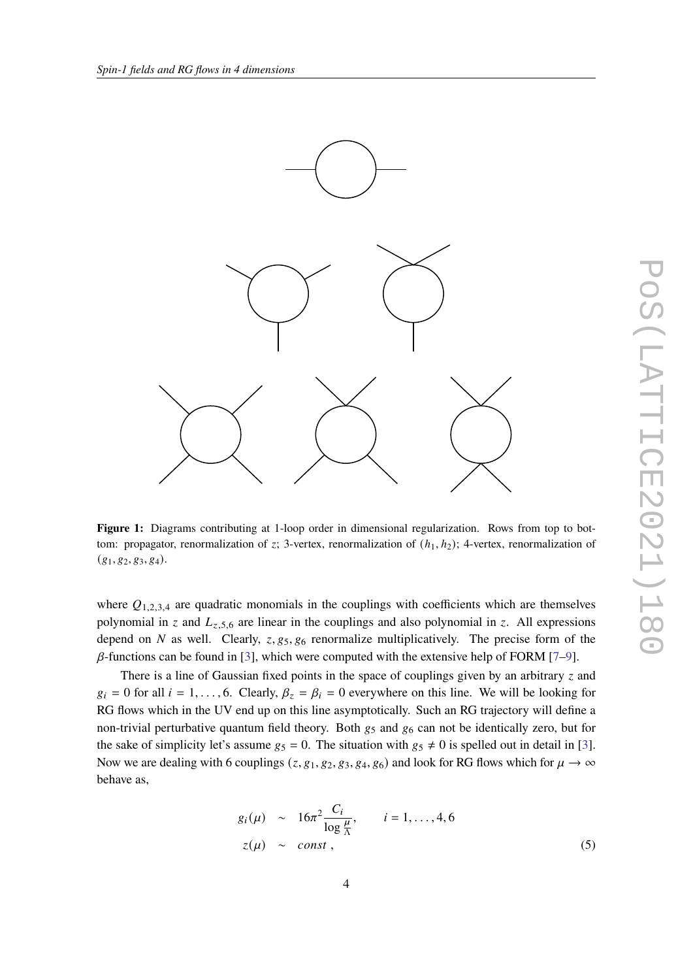<span id="page-3-0"></span>

**Figure 1:** Diagrams contributing at 1-loop order in dimensional regularization. Rows from top to bottom: propagator, renormalization of z; 3-vertex, renormalization of  $(h_1, h_2)$ ; 4-vertex, renormalization of  $(g_1, g_2, g_3, g_4).$ 

where  $Q_{1,2,3,4}$  are quadratic monomials in the couplings with coefficients which are themselves polynomial in z and  $L_{z,5,6}$  are linear in the couplings and also polynomial in z. All expressions depend on N as well. Clearly,  $z, g_5, g_6$  renormalize multiplicatively. The precise form of the  $\beta$ -functions can be found in [\[3\]](#page-6-2), which were computed with the extensive help of FORM [\[7–](#page-6-3)[9\]](#page-6-4).

There is a line of Gaussian fixed points in the space of couplings given by an arbitrary  $\zeta$  and  $g_i = 0$  for all  $i = 1, \ldots, 6$ . Clearly,  $\beta_z = \beta_i = 0$  everywhere on this line. We will be looking for RG flows which in the UV end up on this line asymptotically. Such an RG trajectory will define a non-trivial perturbative quantum field theory. Both  $g_5$  and  $g_6$  can not be identically zero, but for the sake of simplicity let's assume  $g_5 = 0$ . The situation with  $g_5 \neq 0$  is spelled out in detail in [\[3\]](#page-6-2). Now we are dealing with 6 couplings ( $z$ ,  $g_1$ ,  $g_2$ ,  $g_3$ ,  $g_4$ ,  $g_6$ ) and look for RG flows which for  $\mu \to \infty$ behave as,

<span id="page-3-1"></span>
$$
g_i(\mu) \sim 16\pi^2 \frac{C_i}{\log \frac{\mu}{\Lambda}}, \qquad i = 1, \dots, 4, 6
$$
  

$$
z(\mu) \sim const , \qquad (5)
$$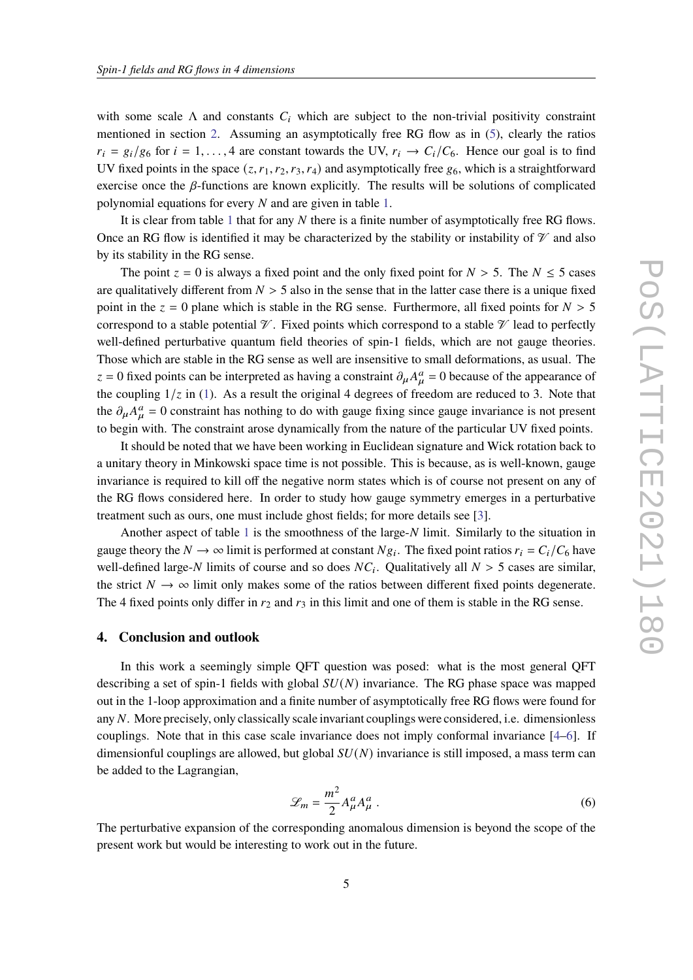with some scale  $\Lambda$  and constants  $C_i$  which are subject to the non-trivial positivity constraint mentioned in section [2.](#page-1-0) Assuming an asymptotically free RG flow as in [\(5\)](#page-3-1), clearly the ratios  $r_i = g_i/g_6$  for  $i = 1, ..., 4$  are constant towards the UV,  $r_i \rightarrow C_i/C_6$ . Hence our goal is to find UV fixed points in the space  $(z, r_1, r_2, r_3, r_4)$  and asymptotically free  $g_6$ , which is a straightforward exercise once the  $\beta$ -functions are known explicitly. The results will be solutions of complicated polynomial equations for every  $N$  and are given in table [1.](#page-5-0)

It is clear from table [1](#page-5-0) that for any  $N$  there is a finite number of asymptotically free RG flows. Once an RG flow is identified it may be characterized by the stability or instability of  $\mathcal V$  and also by its stability in the RG sense.

The point  $z = 0$  is always a fixed point and the only fixed point for  $N > 5$ . The  $N \le 5$  cases are qualitatively different from  $N > 5$  also in the sense that in the latter case there is a unique fixed point in the  $z = 0$  plane which is stable in the RG sense. Furthermore, all fixed points for  $N > 5$ correspond to a stable potential  $\mathcal V$ . Fixed points which correspond to a stable  $\mathcal V$  lead to perfectly well-defined perturbative quantum field theories of spin-1 fields, which are not gauge theories. Those which are stable in the RG sense as well are insensitive to small deformations, as usual. The  $z = 0$  fixed points can be interpreted as having a constraint  $\partial_{\mu} A_{\mu}^{a} = 0$  because of the appearance of the coupling  $1/z$  in [\(1\)](#page-2-1). As a result the original 4 degrees of freedom are reduced to 3. Note that the  $\partial_{\mu}A_{\mu}^{a}=0$  constraint has nothing to do with gauge fixing since gauge invariance is not present to begin with. The constraint arose dynamically from the nature of the particular UV fixed points.

It should be noted that we have been working in Euclidean signature and Wick rotation back to a unitary theory in Minkowski space time is not possible. This is because, as is well-known, gauge invariance is required to kill off the negative norm states which is of course not present on any of the RG flows considered here. In order to study how gauge symmetry emerges in a perturbative treatment such as ours, one must include ghost fields; for more details see [\[3\]](#page-6-2).

Another aspect of table [1](#page-5-0) is the smoothness of the large- $N$  limit. Similarly to the situation in gauge theory the  $N \to \infty$  limit is performed at constant  $Ng_i$ . The fixed point ratios  $r_i = C_i/C_6$  have well-defined large-N limits of course and so does  $NC_i$ . Qualitatively all  $N > 5$  cases are similar, the strict  $N \to \infty$  limit only makes some of the ratios between different fixed points degenerate. The 4 fixed points only differ in  $r_2$  and  $r_3$  in this limit and one of them is stable in the RG sense.

#### <span id="page-4-0"></span>**4. Conclusion and outlook**

In this work a seemingly simple QFT question was posed: what is the most general QFT describing a set of spin-1 fields with global  $SU(N)$  invariance. The RG phase space was mapped out in the 1-loop approximation and a finite number of asymptotically free RG flows were found for any N. More precisely, only classically scale invariant couplings were considered, i.e. dimensionless couplings. Note that in this case scale invariance does not imply conformal invariance [\[4–](#page-6-5)[6\]](#page-6-6). If dimensionful couplings are allowed, but global  $SU(N)$  invariance is still imposed, a mass term can be added to the Lagrangian,

$$
\mathcal{L}_m = \frac{m^2}{2} A^a_\mu A^a_\mu \,. \tag{6}
$$

The perturbative expansion of the corresponding anomalous dimension is beyond the scope of the present work but would be interesting to work out in the future.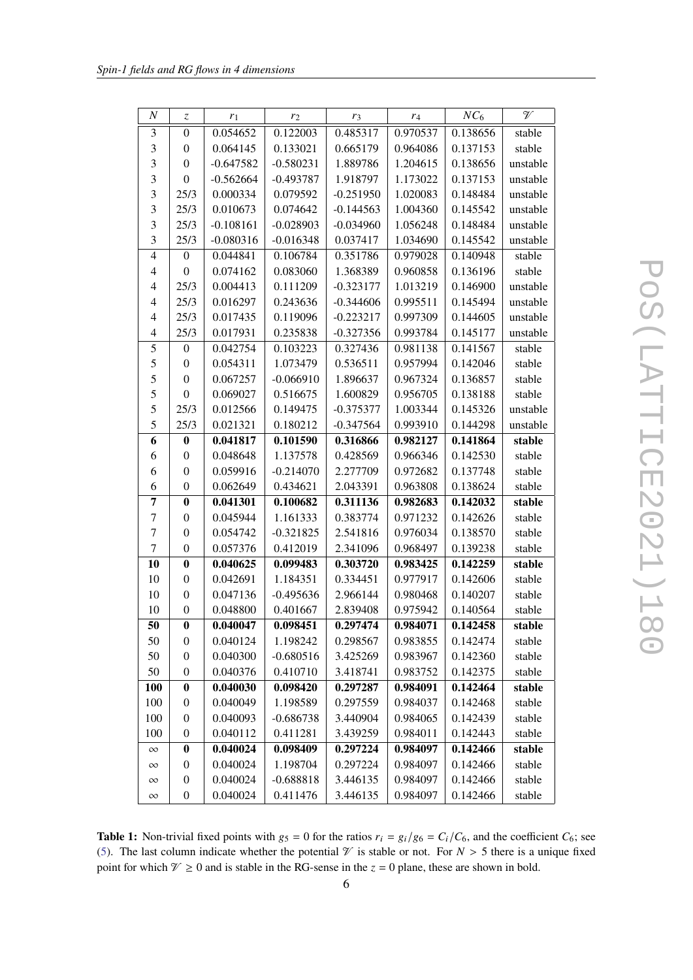<span id="page-5-0"></span>

| $\boldsymbol{N}$ | Z                | $r_1$       | r <sub>2</sub> | r <sub>3</sub> | $r_4$    | $NC_6$   | $\mathcal V$ |
|------------------|------------------|-------------|----------------|----------------|----------|----------|--------------|
| 3                | $\overline{0}$   | 0.054652    | 0.122003       | 0.485317       | 0.970537 | 0.138656 | stable       |
| $\mathfrak{Z}$   | $\boldsymbol{0}$ | 0.064145    | 0.133021       | 0.665179       | 0.964086 | 0.137153 | stable       |
| 3                | $\boldsymbol{0}$ | $-0.647582$ | $-0.580231$    | 1.889786       | 1.204615 | 0.138656 | unstable     |
| $\mathfrak{Z}$   | $\boldsymbol{0}$ | $-0.562664$ | $-0.493787$    | 1.918797       | 1.173022 | 0.137153 | unstable     |
| $\mathfrak{Z}$   | 25/3             | 0.000334    | 0.079592       | $-0.251950$    | 1.020083 | 0.148484 | unstable     |
| $\mathfrak{Z}$   | 25/3             | 0.010673    | 0.074642       | $-0.144563$    | 1.004360 | 0.145542 | unstable     |
| 3                | 25/3             | $-0.108161$ | $-0.028903$    | $-0.034960$    | 1.056248 | 0.148484 | unstable     |
| 3                | 25/3             | $-0.080316$ | $-0.016348$    | 0.037417       | 1.034690 | 0.145542 | unstable     |
| $\overline{4}$   | $\boldsymbol{0}$ | 0.044841    | 0.106784       | 0.351786       | 0.979028 | 0.140948 | stable       |
| 4                | $\overline{0}$   | 0.074162    | 0.083060       | 1.368389       | 0.960858 | 0.136196 | stable       |
| 4                | 25/3             | 0.004413    | 0.111209       | $-0.323177$    | 1.013219 | 0.146900 | unstable     |
| 4                | 25/3             | 0.016297    | 0.243636       | $-0.344606$    | 0.995511 | 0.145494 | unstable     |
| $\overline{4}$   | 25/3             | 0.017435    | 0.119096       | $-0.223217$    | 0.997309 | 0.144605 | unstable     |
| $\overline{4}$   | 25/3             | 0.017931    | 0.235838       | $-0.327356$    | 0.993784 | 0.145177 | unstable     |
| 5                | $\theta$         | 0.042754    | 0.103223       | 0.327436       | 0.981138 | 0.141567 | stable       |
| 5                | $\boldsymbol{0}$ | 0.054311    | 1.073479       | 0.536511       | 0.957994 | 0.142046 | stable       |
| 5                | $\boldsymbol{0}$ | 0.067257    | $-0.066910$    | 1.896637       | 0.967324 | 0.136857 | stable       |
| 5                | $\boldsymbol{0}$ | 0.069027    | 0.516675       | 1.600829       | 0.956705 | 0.138188 | stable       |
| 5                | 25/3             | 0.012566    | 0.149475       | $-0.375377$    | 1.003344 | 0.145326 | unstable     |
| 5                | 25/3             | 0.021321    | 0.180212       | $-0.347564$    | 0.993910 | 0.144298 | unstable     |
| 6                | $\bf{0}$         | 0.041817    | 0.101590       | 0.316866       | 0.982127 | 0.141864 | stable       |
| 6                | $\boldsymbol{0}$ | 0.048648    | 1.137578       | 0.428569       | 0.966346 | 0.142530 | stable       |
| 6                | $\boldsymbol{0}$ | 0.059916    | $-0.214070$    | 2.277709       | 0.972682 | 0.137748 | stable       |
| 6                | $\boldsymbol{0}$ | 0.062649    | 0.434621       | 2.043391       | 0.963808 | 0.138624 | stable       |
| 7                | $\bf{0}$         | 0.041301    | 0.100682       | 0.311136       | 0.982683 | 0.142032 | stable       |
| 7                | $\overline{0}$   | 0.045944    | 1.161333       | 0.383774       | 0.971232 | 0.142626 | stable       |
| 7                | $\theta$         | 0.054742    | $-0.321825$    | 2.541816       | 0.976034 | 0.138570 | stable       |
| $\tau$           | $\boldsymbol{0}$ | 0.057376    | 0.412019       | 2.341096       | 0.968497 | 0.139238 | stable       |
| 10               | $\bf{0}$         | 0.040625    | 0.099483       | 0.303720       | 0.983425 | 0.142259 | stable       |
| 10               | $\overline{0}$   | 0.042691    | 1.184351       | 0.334451       | 0.977917 | 0.142606 | stable       |
| 10               | $\boldsymbol{0}$ | 0.047136    | $-0.495636$    | 2.966144       | 0.980468 | 0.140207 | stable       |
| 10               | $\boldsymbol{0}$ | 0.048800    | 0.401667       | 2.839408       | 0.975942 | 0.140564 | stable       |
| 50               | $\bf{0}$         | 0.040047    | 0.098451       | 0.297474       | 0.984071 | 0.142458 | stable       |
| 50               | 0                | 0.040124    | 1.198242       | 0.298567       | 0.983855 | 0.142474 | stable       |
| 50               | $\boldsymbol{0}$ | 0.040300    | $-0.680516$    | 3.425269       | 0.983967 | 0.142360 | stable       |
| 50               | $\boldsymbol{0}$ | 0.040376    | 0.410710       | 3.418741       | 0.983752 | 0.142375 | stable       |
| <b>100</b>       | $\bf{0}$         | 0.040030    | 0.098420       | 0.297287       | 0.984091 | 0.142464 | stable       |
| 100              | $\boldsymbol{0}$ | 0.040049    | 1.198589       | 0.297559       | 0.984037 | 0.142468 | stable       |
| 100              | $\overline{0}$   | 0.040093    | $-0.686738$    | 3.440904       | 0.984065 | 0.142439 | stable       |
| 100              | $\boldsymbol{0}$ | 0.040112    | 0.411281       | 3.439259       | 0.984011 | 0.142443 | stable       |
| $\infty$         | $\bf{0}$         | 0.040024    | 0.098409       | 0.297224       | 0.984097 | 0.142466 | stable       |
| $\infty$         | $\boldsymbol{0}$ | 0.040024    | 1.198704       | 0.297224       | 0.984097 | 0.142466 | stable       |
| $\infty$         | $\boldsymbol{0}$ | 0.040024    | $-0.688818$    | 3.446135       | 0.984097 | 0.142466 | stable       |
| $\infty$         | $\boldsymbol{0}$ | 0.040024    | 0.411476       | 3.446135       | 0.984097 | 0.142466 | stable       |

**Table 1:** Non-trivial fixed points with  $g_5 = 0$  for the ratios  $r_i = g_i/g_6 = C_i/C_6$ , and the coefficient  $C_6$ ; see [\(5\)](#page-3-1). The last column indicate whether the potential  $\mathcal V$  is stable or not. For  $N > 5$  there is a unique fixed point for which  $\mathcal{V} \ge 0$  and is stable in the RG-sense in the  $z = 0$  plane, these are shown in bold.